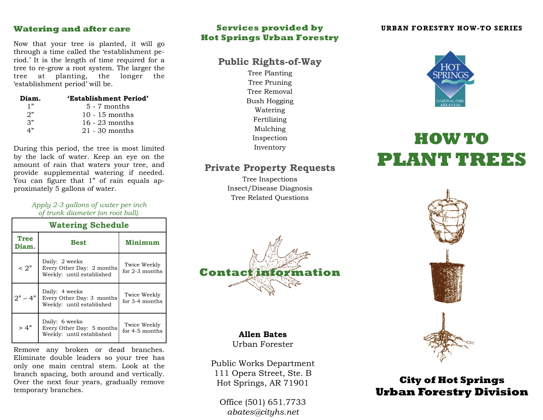Now that your tree is planted, it will go through a time called the 'establishment period.' It is the length of time required for a tree to re-grow a root system. The larger the tree at planting, the longer the 'establishment period' will be.

| Diam.           | 'Establishment Period' |  |
|-----------------|------------------------|--|
| 1"              | $5 - 7$ months         |  |
| 2"              | $10 - 15$ months       |  |
| $\mathcal{R}^n$ | $16 - 23$ months       |  |
| 4"              | $21 - 30$ months       |  |

During this period, the tree is most limited by the lack of water. Keep an eye on the amount of rain that waters your tree, and provide supplemental watering if needed. You can figure that 1" of rain equals approximately 5 gallons of water.

> *Apply 2-3 gallons of water per inch of trunk diameter (on root ball).*

| <b>Watering Schedule</b> |                                                                          |                                  |  |
|--------------------------|--------------------------------------------------------------------------|----------------------------------|--|
| <b>Tree</b><br>Diam.     | <b>Best</b>                                                              | Minimum                          |  |
| $\leq 2"$                | Daily: 2 weeks<br>Every Other Day: 2 months<br>Weekly: until established | Twice Weekly<br>for $2-3$ months |  |
| $2" - 4"$                | Daily: 4 weeks<br>Every Other Day: 3 months<br>Weekly: until established | Twice Weekly<br>for 3-4 months   |  |
| > 4"                     | Daily: 6 weeks<br>Every Other Day: 5 months<br>Weekly: until established | Twice Weekly<br>for 4-5 months   |  |

Remove any broken or dead branches. Eliminate double leaders so your tree has only one main central stem. Look at the branch spacing, both around and vertically. Over the next four years, gradually remove temporary branches.

#### **Services provided by Hot Springs Urban Forestry Watering and after care <b>Services provided by** URBAN FORESTRY HOW-TO SERIES

# **Public Rights-of-Way**

Tree Planting Tree Pruning Tree Removal Bush Hogging Watering Fertilizing Mulching Inspection Inventory

## **Private Property Requests**

Tree Inspections Insect/Disease Diagnosis Tree Related Questions



**Allen Bates**

Urban Forester

Public Works Department 111 Opera Street, Ste. B Hot Springs, AR 71901

Office (501) 651.7733*abates@cityhs.net* 



# **HOW TO PLANT TREES**



# **City of Hot Springs Urban Forestry Division**